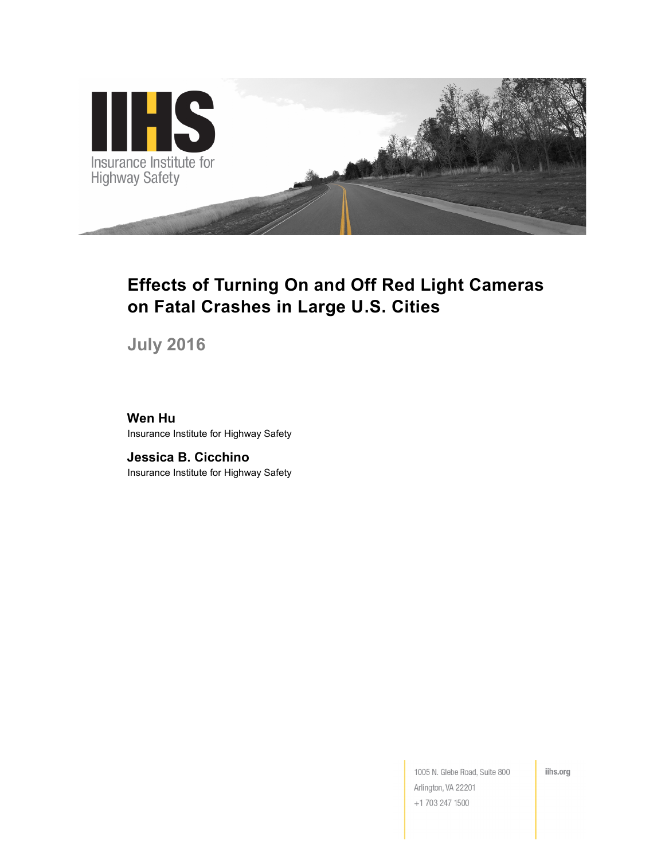

# **Effects of Turning On and Off Red Light Cameras on Fatal Crashes in Large U.S. Cities**

**July 2016**

**Wen Hu** Insurance Institute for Highway Safety

**Jessica B. Cicchino** Insurance Institute for Highway Safety

> 1005 N. Glebe Road, Suite 800 Arlington, VA 22201 +1 703 247 1500

iihs.org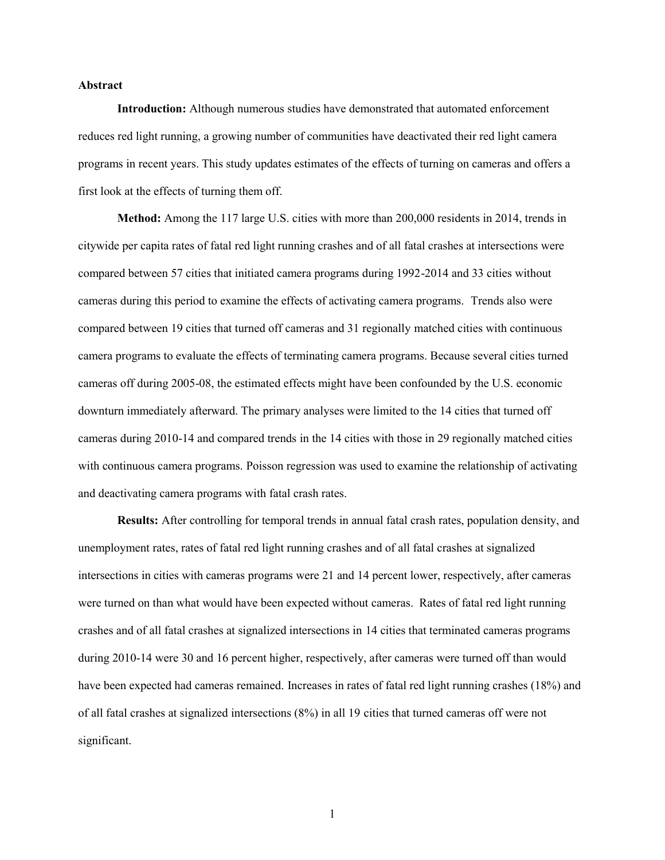#### **Abstract**

**Introduction:** Although numerous studies have demonstrated that automated enforcement reduces red light running, a growing number of communities have deactivated their red light camera programs in recent years. This study updates estimates of the effects of turning on cameras and offers a first look at the effects of turning them off.

**Method:** Among the 117 large U.S. cities with more than 200,000 residents in 2014, trends in citywide per capita rates of fatal red light running crashes and of all fatal crashes at intersections were compared between 57 cities that initiated camera programs during 1992-2014 and 33 cities without cameras during this period to examine the effects of activating camera programs. Trends also were compared between 19 cities that turned off cameras and 31 regionally matched cities with continuous camera programs to evaluate the effects of terminating camera programs. Because several cities turned cameras off during 2005-08, the estimated effects might have been confounded by the U.S. economic downturn immediately afterward. The primary analyses were limited to the 14 cities that turned off cameras during 2010-14 and compared trends in the 14 cities with those in 29 regionally matched cities with continuous camera programs. Poisson regression was used to examine the relationship of activating and deactivating camera programs with fatal crash rates.

**Results:** After controlling for temporal trends in annual fatal crash rates, population density, and unemployment rates, rates of fatal red light running crashes and of all fatal crashes at signalized intersections in cities with cameras programs were 21 and 14 percent lower, respectively, after cameras were turned on than what would have been expected without cameras. Rates of fatal red light running crashes and of all fatal crashes at signalized intersections in 14 cities that terminated cameras programs during 2010-14 were 30 and 16 percent higher, respectively, after cameras were turned off than would have been expected had cameras remained. Increases in rates of fatal red light running crashes (18%) and of all fatal crashes at signalized intersections (8%) in all 19 cities that turned cameras off were not significant.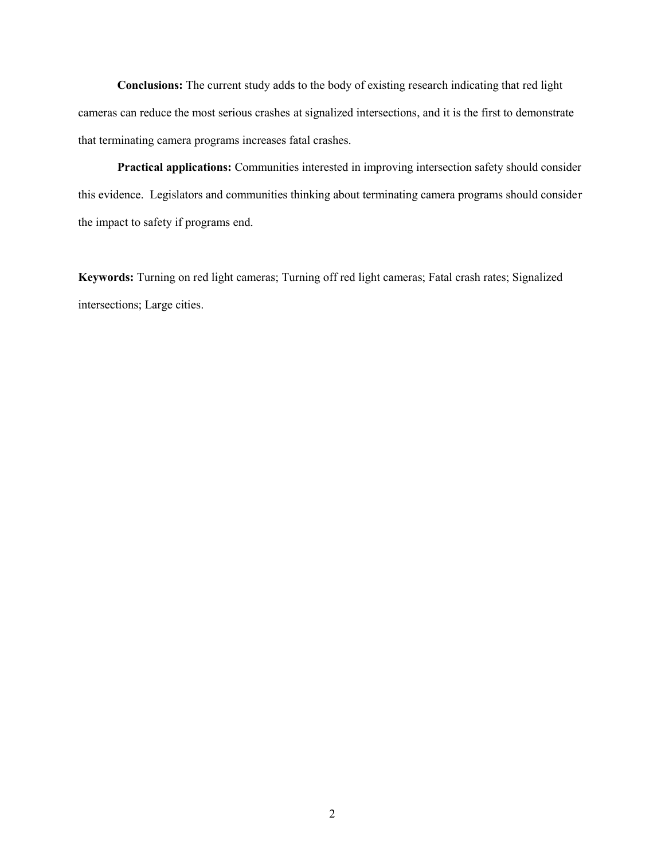**Conclusions:** The current study adds to the body of existing research indicating that red light cameras can reduce the most serious crashes at signalized intersections, and it is the first to demonstrate that terminating camera programs increases fatal crashes.

**Practical applications:** Communities interested in improving intersection safety should consider this evidence. Legislators and communities thinking about terminating camera programs should consider the impact to safety if programs end.

**Keywords:** Turning on red light cameras; Turning off red light cameras; Fatal crash rates; Signalized intersections; Large cities.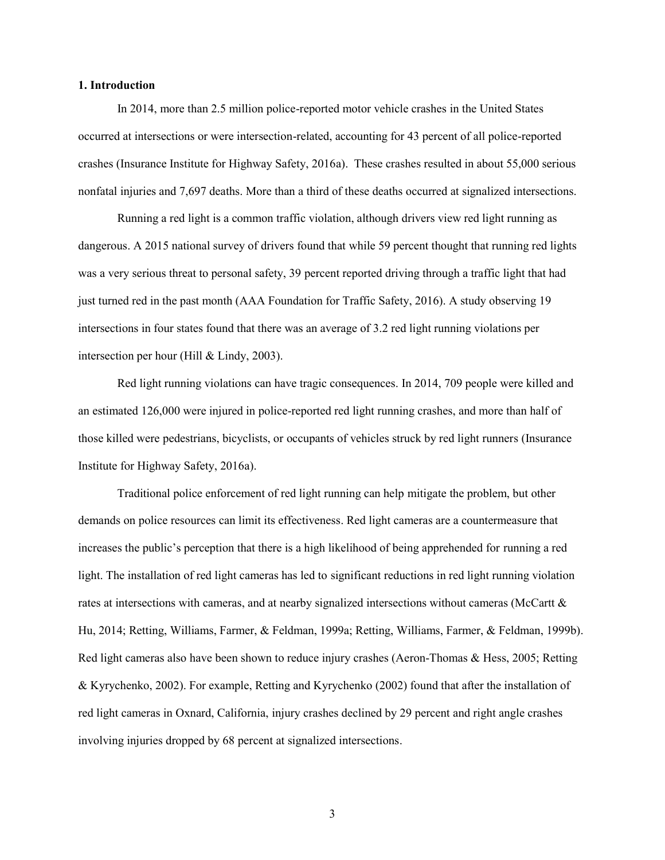#### **1. Introduction**

In 2014, more than 2.5 million police-reported motor vehicle crashes in the United States occurred at intersections or were intersection-related, accounting for 43 percent of all police-reported crashes (Insurance Institute for Highway Safety, 2016a). These crashes resulted in about 55,000 serious nonfatal injuries and 7,697 deaths. More than a third of these deaths occurred at signalized intersections.

Running a red light is a common traffic violation, although drivers view red light running as dangerous. A 2015 national survey of drivers found that while 59 percent thought that running red lights was a very serious threat to personal safety, 39 percent reported driving through a traffic light that had just turned red in the past month (AAA Foundation for Traffic Safety, 2016). A study observing 19 intersections in four states found that there was an average of 3.2 red light running violations per intersection per hour (Hill & Lindy, 2003).

Red light running violations can have tragic consequences. In 2014, 709 people were killed and an estimated 126,000 were injured in police-reported red light running crashes, and more than half of those killed were pedestrians, bicyclists, or occupants of vehicles struck by red light runners (Insurance Institute for Highway Safety, 2016a).

Traditional police enforcement of red light running can help mitigate the problem, but other demands on police resources can limit its effectiveness. Red light cameras are a countermeasure that increases the public's perception that there is a high likelihood of being apprehended for running a red light. The installation of red light cameras has led to significant reductions in red light running violation rates at intersections with cameras, and at nearby signalized intersections without cameras (McCartt & Hu, 2014; Retting, Williams, Farmer, & Feldman, 1999a; Retting, Williams, Farmer, & Feldman, 1999b). Red light cameras also have been shown to reduce injury crashes (Aeron-Thomas & Hess, 2005; Retting & Kyrychenko, 2002). For example, Retting and Kyrychenko (2002) found that after the installation of red light cameras in Oxnard, California, injury crashes declined by 29 percent and right angle crashes involving injuries dropped by 68 percent at signalized intersections.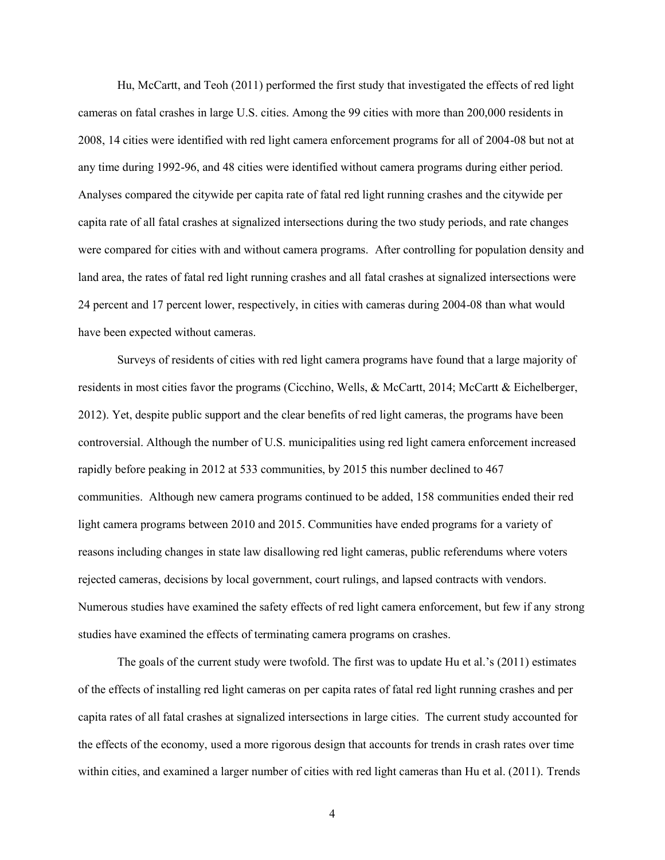Hu, McCartt, and Teoh (2011) performed the first study that investigated the effects of red light cameras on fatal crashes in large U.S. cities. Among the 99 cities with more than 200,000 residents in 2008, 14 cities were identified with red light camera enforcement programs for all of 2004-08 but not at any time during 1992-96, and 48 cities were identified without camera programs during either period. Analyses compared the citywide per capita rate of fatal red light running crashes and the citywide per capita rate of all fatal crashes at signalized intersections during the two study periods, and rate changes were compared for cities with and without camera programs. After controlling for population density and land area, the rates of fatal red light running crashes and all fatal crashes at signalized intersections were 24 percent and 17 percent lower, respectively, in cities with cameras during 2004-08 than what would have been expected without cameras.

Surveys of residents of cities with red light camera programs have found that a large majority of residents in most cities favor the programs (Cicchino, Wells, & McCartt, 2014; McCartt & Eichelberger, 2012). Yet, despite public support and the clear benefits of red light cameras, the programs have been controversial. Although the number of U.S. municipalities using red light camera enforcement increased rapidly before peaking in 2012 at 533 communities, by 2015 this number declined to 467 communities. Although new camera programs continued to be added, 158 communities ended their red light camera programs between 2010 and 2015. Communities have ended programs for a variety of reasons including changes in state law disallowing red light cameras, public referendums where voters rejected cameras, decisions by local government, court rulings, and lapsed contracts with vendors. Numerous studies have examined the safety effects of red light camera enforcement, but few if any strong studies have examined the effects of terminating camera programs on crashes.

The goals of the current study were twofold. The first was to update Hu et al.'s (2011) estimates of the effects of installing red light cameras on per capita rates of fatal red light running crashes and per capita rates of all fatal crashes at signalized intersections in large cities. The current study accounted for the effects of the economy, used a more rigorous design that accounts for trends in crash rates over time within cities, and examined a larger number of cities with red light cameras than Hu et al. (2011). Trends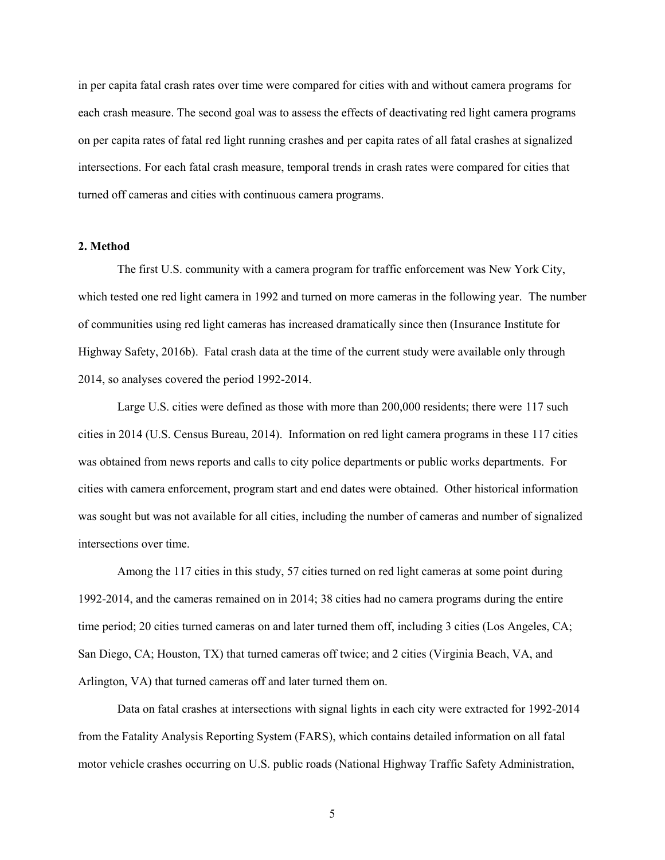in per capita fatal crash rates over time were compared for cities with and without camera programs for each crash measure. The second goal was to assess the effects of deactivating red light camera programs on per capita rates of fatal red light running crashes and per capita rates of all fatal crashes at signalized intersections. For each fatal crash measure, temporal trends in crash rates were compared for cities that turned off cameras and cities with continuous camera programs.

## **2. Method**

The first U.S. community with a camera program for traffic enforcement was New York City, which tested one red light camera in 1992 and turned on more cameras in the following year. The number of communities using red light cameras has increased dramatically since then (Insurance Institute for Highway Safety, 2016b). Fatal crash data at the time of the current study were available only through 2014, so analyses covered the period 1992-2014.

Large U.S. cities were defined as those with more than 200,000 residents; there were 117 such cities in 2014 (U.S. Census Bureau, 2014). Information on red light camera programs in these 117 cities was obtained from news reports and calls to city police departments or public works departments. For cities with camera enforcement, program start and end dates were obtained. Other historical information was sought but was not available for all cities, including the number of cameras and number of signalized intersections over time.

Among the 117 cities in this study, 57 cities turned on red light cameras at some point during 1992-2014, and the cameras remained on in 2014; 38 cities had no camera programs during the entire time period; 20 cities turned cameras on and later turned them off, including 3 cities (Los Angeles, CA; San Diego, CA; Houston, TX) that turned cameras off twice; and 2 cities (Virginia Beach, VA, and Arlington, VA) that turned cameras off and later turned them on.

Data on fatal crashes at intersections with signal lights in each city were extracted for 1992-2014 from the Fatality Analysis Reporting System (FARS), which contains detailed information on all fatal motor vehicle crashes occurring on U.S. public roads (National Highway Traffic Safety Administration,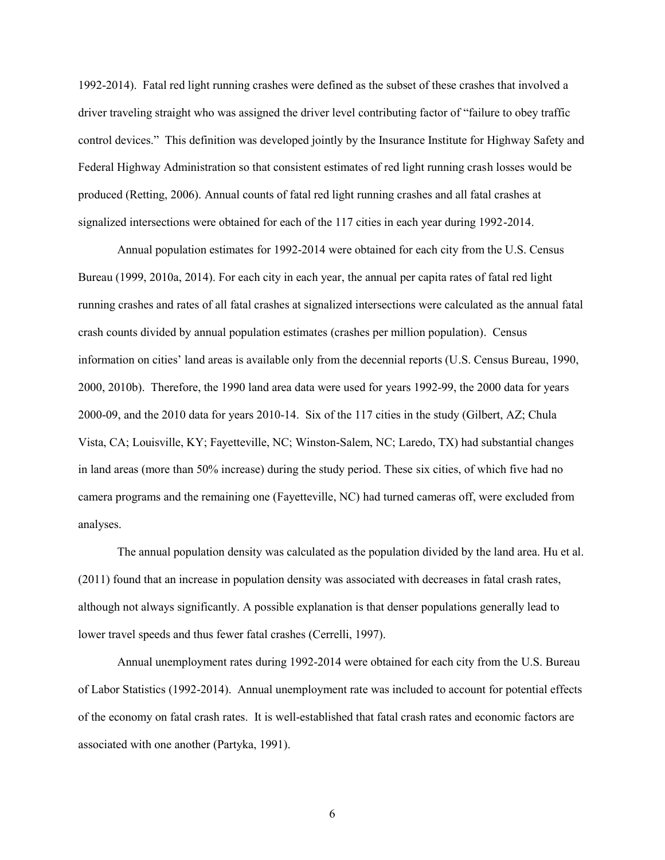1992-2014). Fatal red light running crashes were defined as the subset of these crashes that involved a driver traveling straight who was assigned the driver level contributing factor of "failure to obey traffic control devices." This definition was developed jointly by the Insurance Institute for Highway Safety and Federal Highway Administration so that consistent estimates of red light running crash losses would be produced (Retting, 2006). Annual counts of fatal red light running crashes and all fatal crashes at signalized intersections were obtained for each of the 117 cities in each year during 1992-2014.

Annual population estimates for 1992-2014 were obtained for each city from the U.S. Census Bureau (1999, 2010a, 2014). For each city in each year, the annual per capita rates of fatal red light running crashes and rates of all fatal crashes at signalized intersections were calculated as the annual fatal crash counts divided by annual population estimates (crashes per million population). Census information on cities' land areas is available only from the decennial reports (U.S. Census Bureau, 1990, 2000, 2010b). Therefore, the 1990 land area data were used for years 1992-99, the 2000 data for years 2000-09, and the 2010 data for years 2010-14. Six of the 117 cities in the study (Gilbert, AZ; Chula Vista, CA; Louisville, KY; Fayetteville, NC; Winston-Salem, NC; Laredo, TX) had substantial changes in land areas (more than 50% increase) during the study period. These six cities, of which five had no camera programs and the remaining one (Fayetteville, NC) had turned cameras off, were excluded from analyses.

The annual population density was calculated as the population divided by the land area. Hu et al. (2011) found that an increase in population density was associated with decreases in fatal crash rates, although not always significantly. A possible explanation is that denser populations generally lead to lower travel speeds and thus fewer fatal crashes (Cerrelli, 1997).

Annual unemployment rates during 1992-2014 were obtained for each city from the U.S. Bureau of Labor Statistics (1992-2014). Annual unemployment rate was included to account for potential effects of the economy on fatal crash rates. It is well-established that fatal crash rates and economic factors are associated with one another (Partyka, 1991).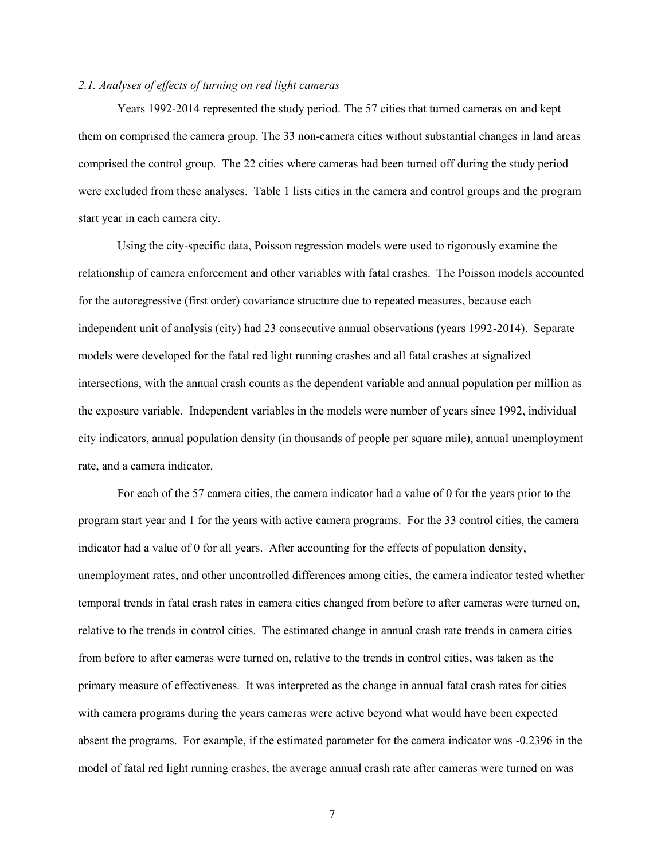## *2.1. Analyses of effects of turning on red light cameras*

Years 1992-2014 represented the study period. The 57 cities that turned cameras on and kept them on comprised the camera group. The 33 non-camera cities without substantial changes in land areas comprised the control group. The 22 cities where cameras had been turned off during the study period were excluded from these analyses. Table 1 lists cities in the camera and control groups and the program start year in each camera city.

Using the city-specific data, Poisson regression models were used to rigorously examine the relationship of camera enforcement and other variables with fatal crashes. The Poisson models accounted for the autoregressive (first order) covariance structure due to repeated measures, because each independent unit of analysis (city) had 23 consecutive annual observations (years 1992-2014). Separate models were developed for the fatal red light running crashes and all fatal crashes at signalized intersections, with the annual crash counts as the dependent variable and annual population per million as the exposure variable. Independent variables in the models were number of years since 1992, individual city indicators, annual population density (in thousands of people per square mile), annual unemployment rate, and a camera indicator.

For each of the 57 camera cities, the camera indicator had a value of 0 for the years prior to the program start year and 1 for the years with active camera programs. For the 33 control cities, the camera indicator had a value of 0 for all years. After accounting for the effects of population density, unemployment rates, and other uncontrolled differences among cities, the camera indicator tested whether temporal trends in fatal crash rates in camera cities changed from before to after cameras were turned on, relative to the trends in control cities. The estimated change in annual crash rate trends in camera cities from before to after cameras were turned on, relative to the trends in control cities, was taken as the primary measure of effectiveness. It was interpreted as the change in annual fatal crash rates for cities with camera programs during the years cameras were active beyond what would have been expected absent the programs. For example, if the estimated parameter for the camera indicator was -0.2396 in the model of fatal red light running crashes, the average annual crash rate after cameras were turned on was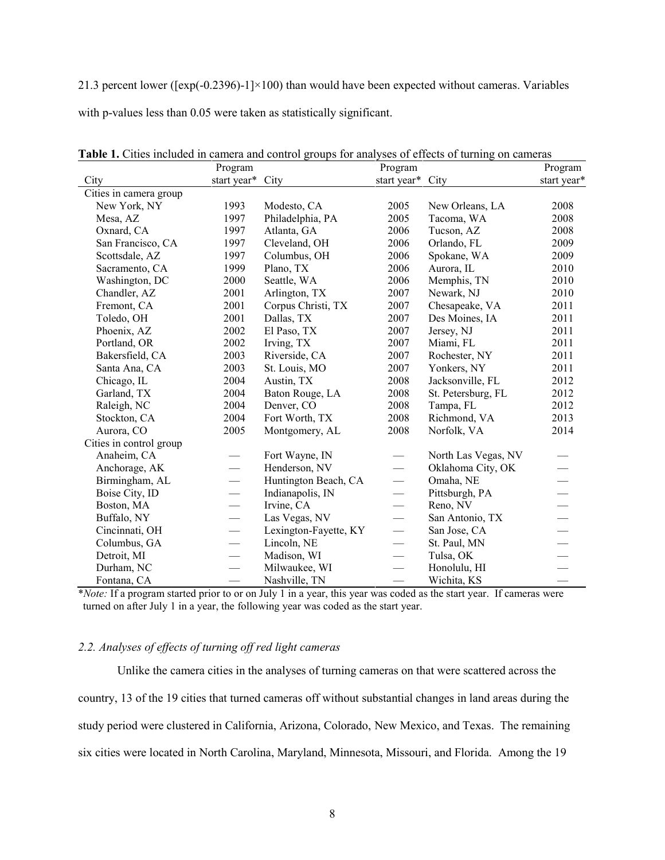21.3 percent lower ([exp(-0.2396)-1]×100) than would have been expected without cameras. Variables

with p-values less than 0.05 were taken as statistically significant.

| <b>rapic 1.</b> Chus menaded in camera and control groups for anaryses of checks of tarining on cameras | Program                          |                       | Program                         |                     | Program                  |
|---------------------------------------------------------------------------------------------------------|----------------------------------|-----------------------|---------------------------------|---------------------|--------------------------|
| City                                                                                                    | start year* City                 |                       | start year* City                |                     | start year*              |
| Cities in camera group                                                                                  |                                  |                       |                                 |                     |                          |
| New York, NY                                                                                            | 1993                             | Modesto, CA           | 2005                            | New Orleans, LA     | 2008                     |
| Mesa, AZ                                                                                                | 1997                             | Philadelphia, PA      | 2005                            | Tacoma, WA          | 2008                     |
| Oxnard, CA                                                                                              | 1997                             | Atlanta, GA           | 2006                            | Tucson, AZ          | 2008                     |
| San Francisco, CA                                                                                       | 1997                             | Cleveland, OH         | 2006                            | Orlando, FL         | 2009                     |
| Scottsdale, AZ                                                                                          | 1997                             | Columbus, OH          | 2006                            | Spokane, WA         | 2009                     |
| Sacramento, CA                                                                                          | 1999                             | Plano, TX             | 2006                            | Aurora, IL          | 2010                     |
| Washington, DC                                                                                          | 2000                             | Seattle, WA           | 2006                            | Memphis, TN         | 2010                     |
| Chandler, AZ                                                                                            | 2001                             | Arlington, TX         | 2007                            | Newark, NJ          | 2010                     |
| Fremont, CA                                                                                             | 2001                             | Corpus Christi, TX    | 2007                            | Chesapeake, VA      | 2011                     |
| Toledo, OH                                                                                              | 2001                             | Dallas, TX            | 2007                            | Des Moines, IA      | 2011                     |
| Phoenix, AZ                                                                                             | 2002                             | El Paso, TX           | 2007                            | Jersey, NJ          | 2011                     |
| Portland, OR                                                                                            | 2002                             | Irving, TX            | 2007                            | Miami, FL           | 2011                     |
| Bakersfield, CA                                                                                         | 2003                             | Riverside, CA         | 2007                            | Rochester, NY       | 2011                     |
| Santa Ana, CA                                                                                           | 2003                             | St. Louis, MO         | 2007                            | Yonkers, NY         | 2011                     |
| Chicago, IL                                                                                             | 2004                             | Austin, TX            | 2008                            | Jacksonville, FL    | 2012                     |
| Garland, TX                                                                                             | 2004                             | Baton Rouge, LA       | 2008                            | St. Petersburg, FL  | 2012                     |
| Raleigh, NC                                                                                             | 2004                             | Denver, CO            | 2008                            | Tampa, FL           | 2012                     |
| Stockton, CA                                                                                            | 2004                             | Fort Worth, TX        | 2008                            | Richmond, VA        | 2013                     |
| Aurora, CO                                                                                              | 2005                             | Montgomery, AL        | 2008                            | Norfolk, VA         | 2014                     |
| Cities in control group                                                                                 |                                  |                       |                                 |                     |                          |
| Anaheim, CA                                                                                             | $\hspace{0.05cm}$                | Fort Wayne, IN        | $\hspace{0.05cm}$               | North Las Vegas, NV |                          |
| Anchorage, AK                                                                                           | $\overbrace{\hspace{15em}}$      | Henderson, NV         |                                 | Oklahoma City, OK   |                          |
| Birmingham, AL                                                                                          | $\overbrace{\qquad \qquad }^{}$  | Huntington Beach, CA  | $\overbrace{\qquad \qquad }^{}$ | Omaha, NE           |                          |
| Boise City, ID                                                                                          | $\overbrace{\phantom{aaaaa}}$    | Indianapolis, IN      |                                 | Pittsburgh, PA      |                          |
| Boston, MA                                                                                              |                                  | Irvine, CA            |                                 | Reno, NV            |                          |
| Buffalo, NY                                                                                             | $\overbrace{\phantom{aaaaa}}^{}$ | Las Vegas, NV         | $\overbrace{\phantom{aaaaa}}$   | San Antonio, TX     | $\overline{\phantom{0}}$ |
| Cincinnati, OH                                                                                          | $\hspace{0.05cm}$                | Lexington-Fayette, KY | $\overline{\phantom{0}}$        | San Jose, CA        |                          |
| Columbus, GA                                                                                            | $\overline{\phantom{0}}$         | Lincoln, NE           |                                 | St. Paul, MN        |                          |
| Detroit, MI                                                                                             | $\overline{\phantom{0}}$         | Madison, WI           |                                 | Tulsa, OK           | $\qquad \qquad$          |
| Durham, NC                                                                                              | $\overline{\phantom{0}}$         | Milwaukee, WI         |                                 | Honolulu, HI        |                          |
| Fontana, CA                                                                                             |                                  | Nashville, TN         |                                 | Wichita, KS         |                          |

**Table 1.** Cities included in camera and control groups for analyses of effects of turning on cameras

\**Note:* If a program started prior to or on July 1 in a year, this year was coded as the start year. If cameras were turned on after July 1 in a year, the following year was coded as the start year.

# *2.2. Analyses of effects of turning off red light cameras*

Unlike the camera cities in the analyses of turning cameras on that were scattered across the country, 13 of the 19 cities that turned cameras off without substantial changes in land areas during the study period were clustered in California, Arizona, Colorado, New Mexico, and Texas. The remaining six cities were located in North Carolina, Maryland, Minnesota, Missouri, and Florida. Among the 19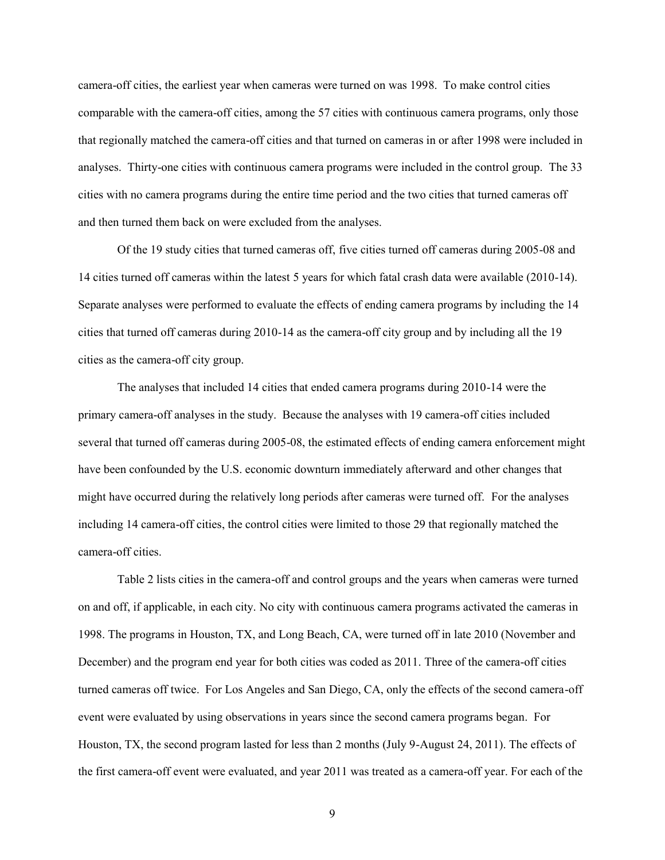camera-off cities, the earliest year when cameras were turned on was 1998. To make control cities comparable with the camera-off cities, among the 57 cities with continuous camera programs, only those that regionally matched the camera-off cities and that turned on cameras in or after 1998 were included in analyses. Thirty-one cities with continuous camera programs were included in the control group. The 33 cities with no camera programs during the entire time period and the two cities that turned cameras off and then turned them back on were excluded from the analyses.

Of the 19 study cities that turned cameras off, five cities turned off cameras during 2005-08 and 14 cities turned off cameras within the latest 5 years for which fatal crash data were available (2010-14). Separate analyses were performed to evaluate the effects of ending camera programs by including the 14 cities that turned off cameras during 2010-14 as the camera-off city group and by including all the 19 cities as the camera-off city group.

The analyses that included 14 cities that ended camera programs during 2010-14 were the primary camera-off analyses in the study. Because the analyses with 19 camera-off cities included several that turned off cameras during 2005-08, the estimated effects of ending camera enforcement might have been confounded by the U.S. economic downturn immediately afterward and other changes that might have occurred during the relatively long periods after cameras were turned off. For the analyses including 14 camera-off cities, the control cities were limited to those 29 that regionally matched the camera-off cities.

Table 2 lists cities in the camera-off and control groups and the years when cameras were turned on and off, if applicable, in each city. No city with continuous camera programs activated the cameras in 1998. The programs in Houston, TX, and Long Beach, CA, were turned off in late 2010 (November and December) and the program end year for both cities was coded as 2011. Three of the camera-off cities turned cameras off twice. For Los Angeles and San Diego, CA, only the effects of the second camera-off event were evaluated by using observations in years since the second camera programs began. For Houston, TX, the second program lasted for less than 2 months (July 9-August 24, 2011). The effects of the first camera-off event were evaluated, and year 2011 was treated as a camera-off year. For each of the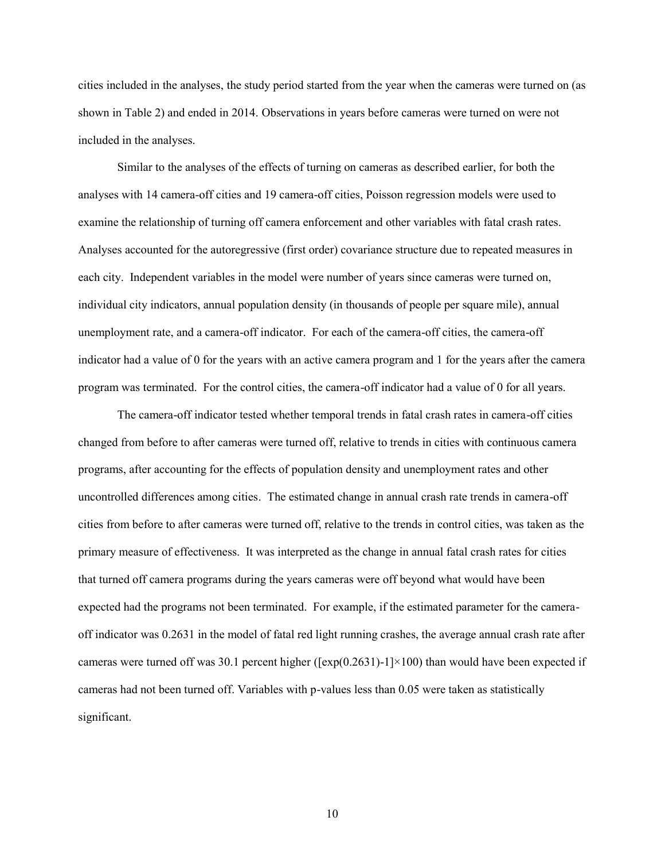cities included in the analyses, the study period started from the year when the cameras were turned on (as shown in Table 2) and ended in 2014. Observations in years before cameras were turned on were not included in the analyses.

Similar to the analyses of the effects of turning on cameras as described earlier, for both the analyses with 14 camera-off cities and 19 camera-off cities, Poisson regression models were used to examine the relationship of turning off camera enforcement and other variables with fatal crash rates. Analyses accounted for the autoregressive (first order) covariance structure due to repeated measures in each city. Independent variables in the model were number of years since cameras were turned on, individual city indicators, annual population density (in thousands of people per square mile), annual unemployment rate, and a camera-off indicator. For each of the camera-off cities, the camera-off indicator had a value of 0 for the years with an active camera program and 1 for the years after the camera program was terminated. For the control cities, the camera-off indicator had a value of 0 for all years.

The camera-off indicator tested whether temporal trends in fatal crash rates in camera-off cities changed from before to after cameras were turned off, relative to trends in cities with continuous camera programs, after accounting for the effects of population density and unemployment rates and other uncontrolled differences among cities. The estimated change in annual crash rate trends in camera-off cities from before to after cameras were turned off, relative to the trends in control cities, was taken as the primary measure of effectiveness. It was interpreted as the change in annual fatal crash rates for cities that turned off camera programs during the years cameras were off beyond what would have been expected had the programs not been terminated. For example, if the estimated parameter for the camera off indicator was 0.2631 in the model of fatal red light running crashes, the average annual crash rate after cameras were turned off was 30.1 percent higher ( $[\exp(0.2631)-1]\times100$ ) than would have been expected if cameras had not been turned off. Variables with p-values less than 0.05 were taken as statistically significant.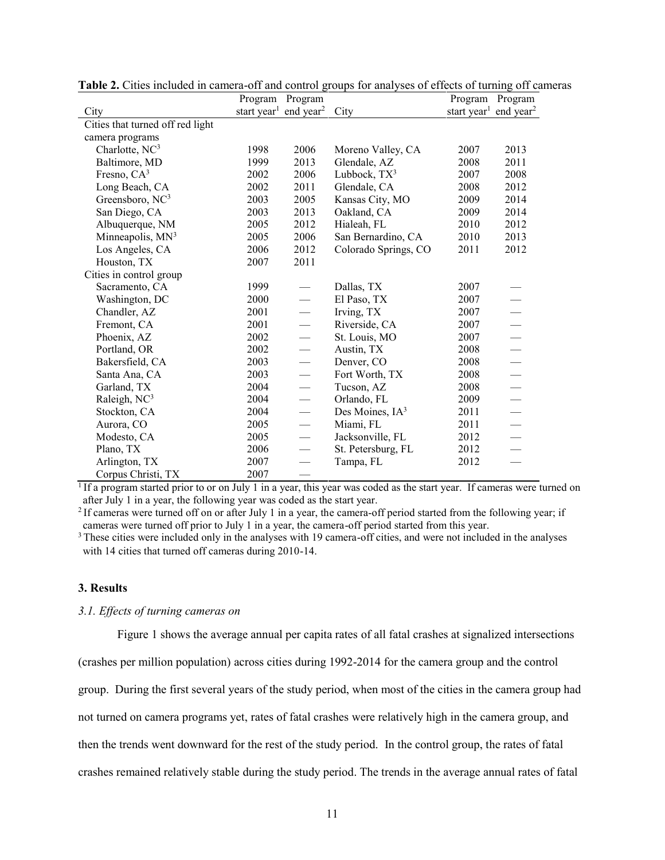|                                  | Program Program                               |                                 |                      | Program | Program                                       |
|----------------------------------|-----------------------------------------------|---------------------------------|----------------------|---------|-----------------------------------------------|
| City                             | start year <sup>1</sup> end year <sup>2</sup> |                                 | City                 |         | start year <sup>1</sup> end year <sup>2</sup> |
| Cities that turned off red light |                                               |                                 |                      |         |                                               |
| camera programs                  |                                               |                                 |                      |         |                                               |
| Charlotte, NC <sup>3</sup>       | 1998                                          | 2006                            | Moreno Valley, CA    | 2007    | 2013                                          |
| Baltimore, MD                    | 1999                                          | 2013                            | Glendale, AZ         | 2008    | 2011                                          |
| Fresno, $CA^3$                   | 2002                                          | 2006                            | Lubbock, $TX^3$      | 2007    | 2008                                          |
| Long Beach, CA                   | 2002                                          | 2011                            | Glendale, CA         | 2008    | 2012                                          |
| Greensboro, NC <sup>3</sup>      | 2003                                          | 2005                            | Kansas City, MO      | 2009    | 2014                                          |
| San Diego, CA                    | 2003                                          | 2013                            | Oakland, CA          | 2009    | 2014                                          |
| Albuquerque, NM                  | 2005                                          | 2012                            | Hialeah, FL          | 2010    | 2012                                          |
| Minneapolis, $MN^3$              | 2005                                          | 2006                            | San Bernardino, CA   | 2010    | 2013                                          |
| Los Angeles, CA                  | 2006                                          | 2012                            | Colorado Springs, CO | 2011    | 2012                                          |
| Houston, TX                      | 2007                                          | 2011                            |                      |         |                                               |
| Cities in control group          |                                               |                                 |                      |         |                                               |
| Sacramento, CA                   | 1999                                          |                                 | Dallas, TX           | 2007    |                                               |
| Washington, DC                   | 2000                                          | $\overline{\phantom{0}}$        | El Paso, TX          | 2007    |                                               |
| Chandler, AZ                     | 2001                                          |                                 | Irving, TX           | 2007    |                                               |
| Fremont, CA                      | 2001                                          | $\overbrace{\hspace{15em}}$     | Riverside, CA        | 2007    |                                               |
| Phoenix, AZ                      | 2002                                          |                                 | St. Louis, MO        | 2007    |                                               |
| Portland, OR                     | 2002                                          | $\overline{\phantom{0}}$        | Austin, TX           | 2008    |                                               |
| Bakersfield, CA                  | 2003                                          | $\overbrace{\hspace{15em}}$     | Denver, CO           | 2008    |                                               |
| Santa Ana, CA                    | 2003                                          | $\overbrace{\hspace{15em}}$     | Fort Worth, TX       | 2008    |                                               |
| Garland, TX                      | 2004                                          | $\overbrace{\hspace{15em}}$     | Tucson, AZ           | 2008    |                                               |
| Raleigh, $NC3$                   | 2004                                          |                                 | Orlando, FL          | 2009    |                                               |
| Stockton, CA                     | 2004                                          |                                 | Des Moines, $IA3$    | 2011    |                                               |
| Aurora, CO                       | 2005                                          | $\overbrace{\qquad \qquad }^{}$ | Miami, FL            | 2011    |                                               |
| Modesto, CA                      | 2005                                          | $\overbrace{\hspace{15em}}$     | Jacksonville, FL     | 2012    | $\overbrace{\phantom{aaaaa}}$                 |
| Plano, TX                        | 2006                                          |                                 | St. Petersburg, FL   | 2012    |                                               |
| Arlington, TX                    | 2007                                          |                                 | Tampa, FL            | 2012    |                                               |
| Corpus Christi, TX               | 2007                                          |                                 |                      |         |                                               |

**Table 2.** Cities included in camera-off and control groups for analyses of effects of turning off cameras

 $1$  If a program started prior to or on July 1 in a year, this year was coded as the start year. If cameras were turned on after July 1 in a year, the following year was coded as the start year.

<sup>2</sup> If cameras were turned off on or after July 1 in a year, the camera-off period started from the following year; if cameras were turned off prior to July 1 in a year, the camera-off period started from this year.

<sup>3</sup> These cities were included only in the analyses with 19 camera-off cities, and were not included in the analyses with 14 cities that turned off cameras during 2010-14.

#### **3. Results**

#### *3.1. Effects of turning cameras on*

Figure 1 shows the average annual per capita rates of all fatal crashes at signalized intersections

(crashes per million population) across cities during 1992-2014 for the camera group and the control

group. During the first several years of the study period, when most of the cities in the camera group had

not turned on camera programs yet, rates of fatal crashes were relatively high in the camera group, and

then the trends went downward for the rest of the study period. In the control group, the rates of fatal

crashes remained relatively stable during the study period. The trends in the average annual rates of fatal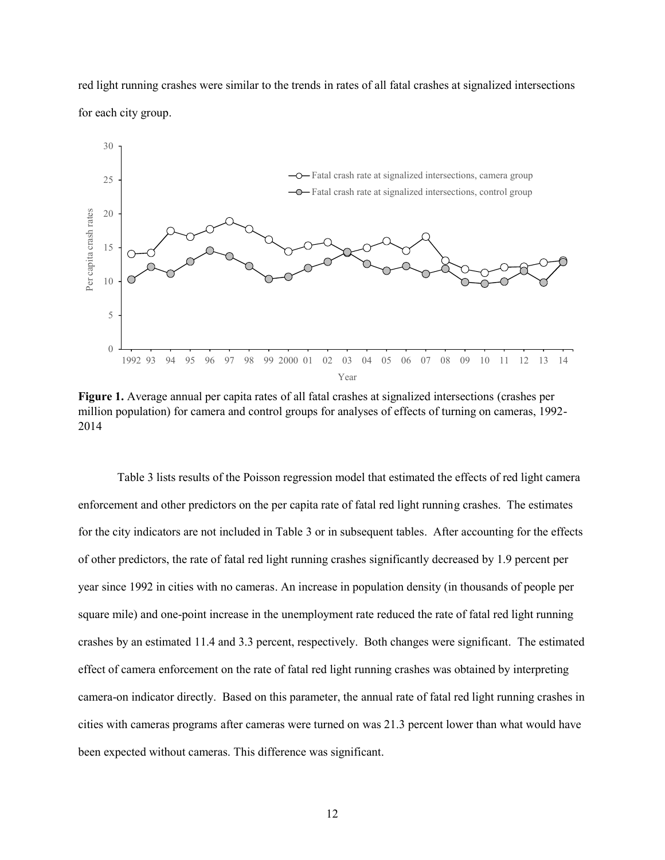red light running crashes were similar to the trends in rates of all fatal crashes at signalized intersections for each city group.



**Figure 1.** Average annual per capita rates of all fatal crashes at signalized intersections (crashes per million population) for camera and control groups for analyses of effects of turning on cameras, 1992- 2014

Table 3 lists results of the Poisson regression model that estimated the effects of red light camera enforcement and other predictors on the per capita rate of fatal red light running crashes. The estimates for the city indicators are not included in Table 3 or in subsequent tables. After accounting for the effects of other predictors, the rate of fatal red light running crashes significantly decreased by 1.9 percent per year since 1992 in cities with no cameras. An increase in population density (in thousands of people per square mile) and one-point increase in the unemployment rate reduced the rate of fatal red light running crashes by an estimated 11.4 and 3.3 percent, respectively. Both changes were significant. The estimated effect of camera enforcement on the rate of fatal red light running crashes was obtained by interpreting camera-on indicator directly. Based on this parameter, the annual rate of fatal red light running crashes in cities with cameras programs after cameras were turned on was 21.3 percent lower than what would have been expected without cameras. This difference was significant.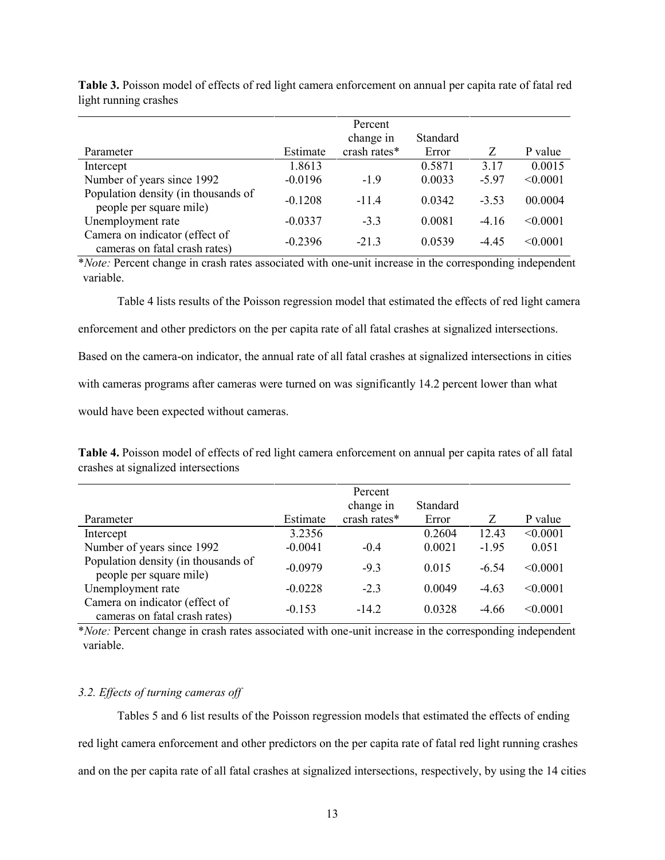|                                                                 |           | Percent<br>change in | Standard |         |          |
|-----------------------------------------------------------------|-----------|----------------------|----------|---------|----------|
| Parameter                                                       | Estimate  | crash rates*         | Error    | Ζ       | P value  |
| Intercept                                                       | 1.8613    |                      | 0.5871   | 3.17    | 0.0015   |
| Number of years since 1992                                      | $-0.0196$ | $-1.9$               | 0.0033   | $-5.97$ | < 0.0001 |
| Population density (in thousands of<br>people per square mile)  | $-0.1208$ | $-11.4$              | 0.0342   | $-3.53$ | 00.0004  |
| Unemployment rate                                               | $-0.0337$ | $-3.3$               | 0.0081   | $-4.16$ | < 0.0001 |
| Camera on indicator (effect of<br>cameras on fatal crash rates) | $-0.2396$ | $-21.3$              | 0.0539   | $-4.45$ | < 0.0001 |

**Table 3.** Poisson model of effects of red light camera enforcement on annual per capita rate of fatal red light running crashes

\**Note:* Percent change in crash rates associated with one-unit increase in the corresponding independent variable.

Table 4 lists results of the Poisson regression model that estimated the effects of red light camera

enforcement and other predictors on the per capita rate of all fatal crashes at signalized intersections.

Based on the camera-on indicator, the annual rate of all fatal crashes at signalized intersections in cities

with cameras programs after cameras were turned on was significantly 14.2 percent lower than what

would have been expected without cameras.

**Table 4.** Poisson model of effects of red light camera enforcement on annual per capita rates of all fatal crashes at signalized intersections

|                                                                 |           | Percent      |          |         |          |
|-----------------------------------------------------------------|-----------|--------------|----------|---------|----------|
|                                                                 |           | change in    | Standard |         |          |
| Parameter                                                       | Estimate  | crash rates* | Error    | Ζ       | P value  |
| Intercept                                                       | 3.2356    |              | 0.2604   | 12.43   | < 0.0001 |
| Number of years since 1992                                      | $-0.0041$ | $-0.4$       | 0.0021   | $-1.95$ | 0.051    |
| Population density (in thousands of<br>people per square mile)  | $-0.0979$ | $-9.3$       | 0.015    | $-6.54$ | < 0.0001 |
| Unemployment rate                                               | $-0.0228$ | $-2.3$       | 0.0049   | $-4.63$ | < 0.0001 |
| Camera on indicator (effect of<br>cameras on fatal crash rates) | $-0.153$  | $-14.2$      | 0.0328   | $-4.66$ | < 0.0001 |

\**Note:* Percent change in crash rates associated with one-unit increase in the corresponding independent variable.

# *3.2. Effects of turning cameras off*

Tables 5 and 6 list results of the Poisson regression models that estimated the effects of ending red light camera enforcement and other predictors on the per capita rate of fatal red light running crashes and on the per capita rate of all fatal crashes at signalized intersections, respectively, by using the 14 cities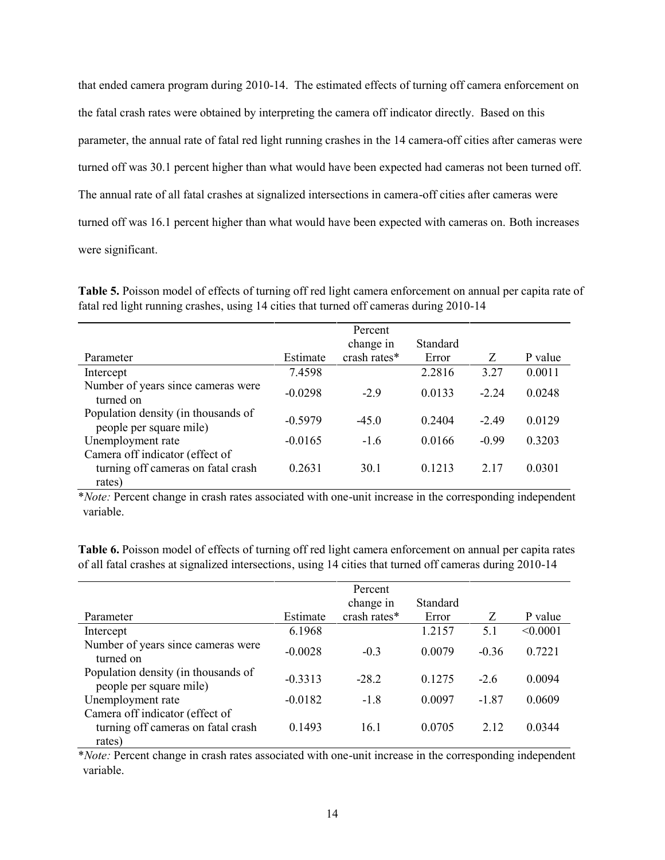that ended camera program during 2010-14. The estimated effects of turning off camera enforcement on the fatal crash rates were obtained by interpreting the camera off indicator directly. Based on this parameter, the annual rate of fatal red light running crashes in the 14 camera-off cities after cameras were turned off was 30.1 percent higher than what would have been expected had cameras not been turned off. The annual rate of all fatal crashes at signalized intersections in camera-off cities after cameras were turned off was 16.1 percent higher than what would have been expected with cameras on. Both increases were significant.

**Table 5.** Poisson model of effects of turning off red light camera enforcement on annual per capita rate of fatal red light running crashes, using 14 cities that turned off cameras during 2010-14

|                                                                                 |           | Percent<br>change in | <b>Standard</b> |         |         |
|---------------------------------------------------------------------------------|-----------|----------------------|-----------------|---------|---------|
| Parameter                                                                       | Estimate  | crash rates*         | Error           | Z       | P value |
| Intercept                                                                       | 7.4598    |                      | 2.2816          | 3.27    | 0.0011  |
| Number of years since cameras were<br>turned on                                 | $-0.0298$ | $-2.9$               | 0.0133          | $-2.24$ | 0.0248  |
| Population density (in thousands of<br>people per square mile)                  | $-0.5979$ | $-45.0$              | 0.2404          | $-2.49$ | 0.0129  |
| Unemployment rate                                                               | $-0.0165$ | $-1.6$               | 0.0166          | $-0.99$ | 0.3203  |
| Camera off indicator (effect of<br>turning off cameras on fatal crash<br>rates) | 0.2631    | 30.1                 | 0.1213          | 2.17    | 0.0301  |

\**Note:* Percent change in crash rates associated with one-unit increase in the corresponding independent variable.

**Table 6.** Poisson model of effects of turning off red light camera enforcement on annual per capita rates of all fatal crashes at signalized intersections, using 14 cities that turned off cameras during 2010-14

|                                                                                 |           | Percent<br>change in | <b>Standard</b> |         |          |
|---------------------------------------------------------------------------------|-----------|----------------------|-----------------|---------|----------|
| Parameter                                                                       | Estimate  | crash rates*         | Error           | Z       | P value  |
| Intercept                                                                       | 6.1968    |                      | 1.2157          | 5.1     | < 0.0001 |
| Number of years since cameras were<br>turned on                                 | $-0.0028$ | $-0.3$               | 0.0079          | $-0.36$ | 0.7221   |
| Population density (in thousands of<br>people per square mile)                  | $-0.3313$ | $-28.2$              | 0.1275          | $-2.6$  | 0.0094   |
| Unemployment rate                                                               | $-0.0182$ | $-1.8$               | 0.0097          | $-1.87$ | 0.0609   |
| Camera off indicator (effect of<br>turning off cameras on fatal crash<br>rates) | 0.1493    | 16.1                 | 0.0705          | 2.12    | 0.0344   |

\**Note:* Percent change in crash rates associated with one-unit increase in the corresponding independent variable.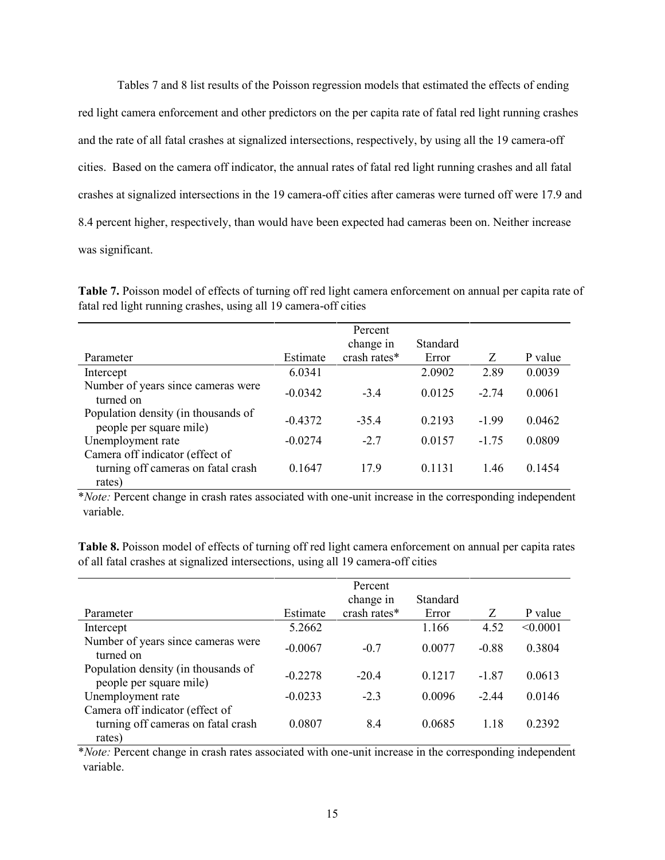Tables 7 and 8 list results of the Poisson regression models that estimated the effects of ending red light camera enforcement and other predictors on the per capita rate of fatal red light running crashes and the rate of all fatal crashes at signalized intersections, respectively, by using all the 19 camera-off cities. Based on the camera off indicator, the annual rates of fatal red light running crashes and all fatal crashes at signalized intersections in the 19 camera-off cities after cameras were turned off were 17.9 and 8.4 percent higher, respectively, than would have been expected had cameras been on. Neither increase was significant.

**Table 7.** Poisson model of effects of turning off red light camera enforcement on annual per capita rate of fatal red light running crashes, using all 19 camera-off cities

|                                                                                 |           | Percent<br>change in | <b>Standard</b> |         |         |
|---------------------------------------------------------------------------------|-----------|----------------------|-----------------|---------|---------|
| Parameter                                                                       | Estimate  | crash rates*         | Error           | Ζ       | P value |
| Intercept                                                                       | 6.0341    |                      | 2.0902          | 2.89    | 0.0039  |
| Number of years since cameras were<br>turned on                                 | $-0.0342$ | $-3.4$               | 0.0125          | $-2.74$ | 0.0061  |
| Population density (in thousands of<br>people per square mile)                  | $-0.4372$ | $-35.4$              | 0.2193          | $-1.99$ | 0.0462  |
| Unemployment rate                                                               | $-0.0274$ | $-2.7$               | 0.0157          | $-1.75$ | 0.0809  |
| Camera off indicator (effect of<br>turning off cameras on fatal crash<br>rates) | 0.1647    | 17.9                 | 0.1131          | 1.46    | 0.1454  |

\**Note:* Percent change in crash rates associated with one-unit increase in the corresponding independent variable.

| Table 8. Poisson model of effects of turning off red light camera enforcement on annual per capita rates |  |
|----------------------------------------------------------------------------------------------------------|--|
| of all fatal crashes at signalized intersections, using all 19 camera-off cities                         |  |

|                                                                                 |           | Percent<br>change in | Standard |         |          |
|---------------------------------------------------------------------------------|-----------|----------------------|----------|---------|----------|
| Parameter                                                                       | Estimate  | crash rates*         | Error    | Ζ       | P value  |
| Intercept                                                                       | 5.2662    |                      | 1.166    | 4.52    | < 0.0001 |
| Number of years since cameras were<br>turned on                                 | $-0.0067$ | $-0.7$               | 0.0077   | $-0.88$ | 0.3804   |
| Population density (in thousands of<br>people per square mile)                  | $-0.2278$ | $-20.4$              | 0.1217   | $-1.87$ | 0.0613   |
| Unemployment rate                                                               | $-0.0233$ | $-2.3$               | 0.0096   | $-2.44$ | 0.0146   |
| Camera off indicator (effect of<br>turning off cameras on fatal crash<br>rates) | 0.0807    | 8.4                  | 0.0685   | 1.18    | 0.2392   |

\**Note:* Percent change in crash rates associated with one-unit increase in the corresponding independent variable.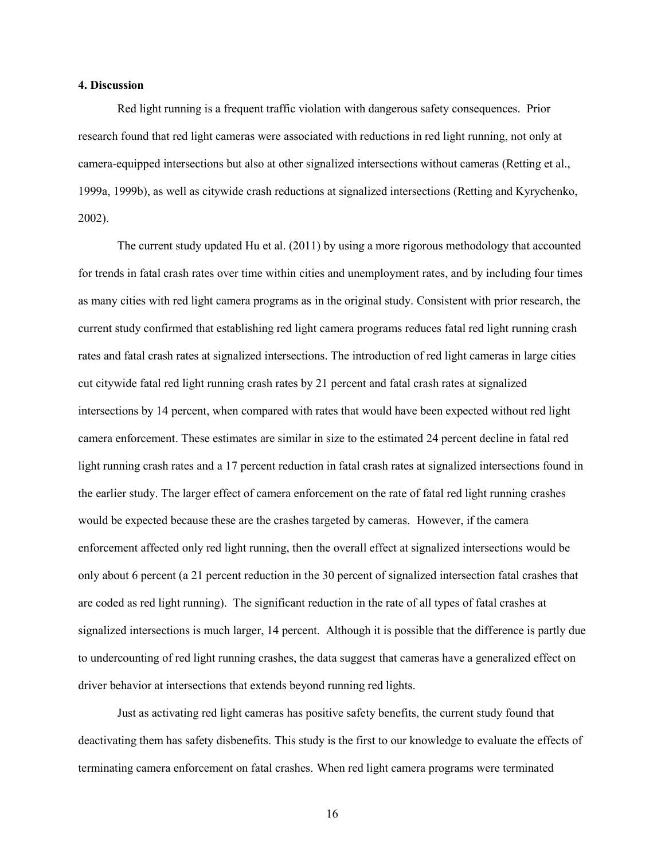### **4. Discussion**

Red light running is a frequent traffic violation with dangerous safety consequences. Prior research found that red light cameras were associated with reductions in red light running, not only at camera-equipped intersections but also at other signalized intersections without cameras (Retting et al., 1999a, 1999b), as well as citywide crash reductions at signalized intersections (Retting and Kyrychenko, 2002).

The current study updated Hu et al. (2011) by using a more rigorous methodology that accounted for trends in fatal crash rates over time within cities and unemployment rates, and by including four times as many cities with red light camera programs as in the original study. Consistent with prior research, the current study confirmed that establishing red light camera programs reduces fatal red light running crash rates and fatal crash rates at signalized intersections. The introduction of red light cameras in large cities cut citywide fatal red light running crash rates by 21 percent and fatal crash rates at signalized intersections by 14 percent, when compared with rates that would have been expected without red light camera enforcement. These estimates are similar in size to the estimated 24 percent decline in fatal red light running crash rates and a 17 percent reduction in fatal crash rates at signalized intersections found in the earlier study. The larger effect of camera enforcement on the rate of fatal red light running crashes would be expected because these are the crashes targeted by cameras. However, if the camera enforcement affected only red light running, then the overall effect at signalized intersections would be only about 6 percent (a 21 percent reduction in the 30 percent of signalized intersection fatal crashes that are coded as red light running). The significant reduction in the rate of all types of fatal crashes at signalized intersections is much larger, 14 percent. Although it is possible that the difference is partly due to undercounting of red light running crashes, the data suggest that cameras have a generalized effect on driver behavior at intersections that extends beyond running red lights.

Just as activating red light cameras has positive safety benefits, the current study found that deactivating them has safety disbenefits. This study is the first to our knowledge to evaluate the effects of terminating camera enforcement on fatal crashes. When red light camera programs were terminated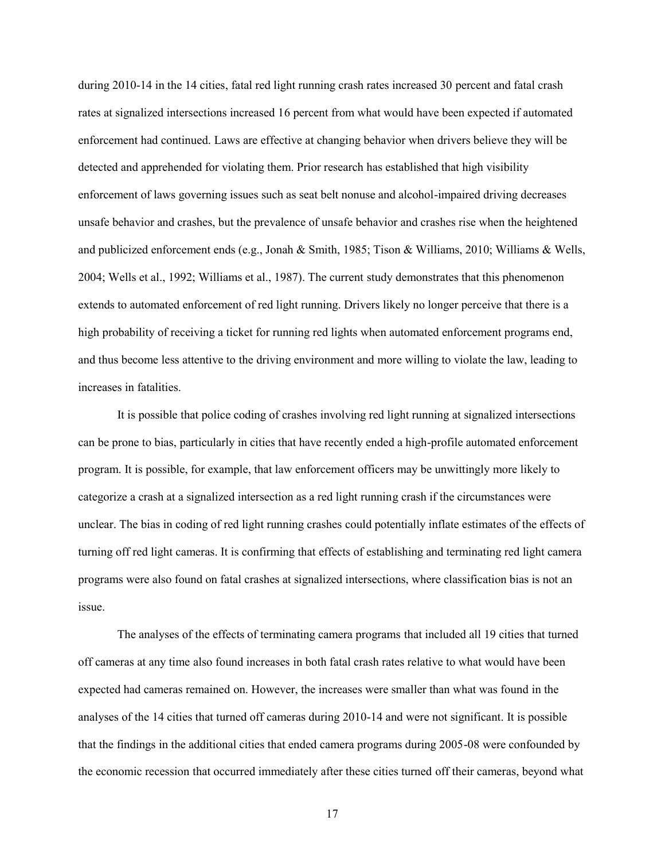during 2010-14 in the 14 cities, fatal red light running crash rates increased 30 percent and fatal crash rates at signalized intersections increased 16 percent from what would have been expected if automated enforcement had continued. Laws are effective at changing behavior when drivers believe they will be detected and apprehended for violating them. Prior research has established that high visibility enforcement of laws governing issues such as seat belt nonuse and alcohol-impaired driving decreases unsafe behavior and crashes, but the prevalence of unsafe behavior and crashes rise when the heightened and publicized enforcement ends (e.g., Jonah & Smith, 1985; Tison & Williams, 2010; Williams & Wells, 2004; Wells et al., 1992; Williams et al., 1987). The current study demonstrates that this phenomenon extends to automated enforcement of red light running. Drivers likely no longer perceive that there is a high probability of receiving a ticket for running red lights when automated enforcement programs end, and thus become less attentive to the driving environment and more willing to violate the law, leading to increases in fatalities.

It is possible that police coding of crashes involving red light running at signalized intersections can be prone to bias, particularly in cities that have recently ended a high-profile automated enforcement program. It is possible, for example, that law enforcement officers may be unwittingly more likely to categorize a crash at a signalized intersection as a red light running crash if the circumstances were unclear. The bias in coding of red light running crashes could potentially inflate estimates of the effects of turning off red light cameras. It is confirming that effects of establishing and terminating red light camera programs were also found on fatal crashes at signalized intersections, where classification bias is not an issue.

The analyses of the effects of terminating camera programs that included all 19 cities that turned off cameras at any time also found increases in both fatal crash rates relative to what would have been expected had cameras remained on. However, the increases were smaller than what was found in the analyses of the 14 cities that turned off cameras during 2010-14 and were not significant. It is possible that the findings in the additional cities that ended camera programs during 2005-08 were confounded by the economic recession that occurred immediately after these cities turned off their cameras, beyond what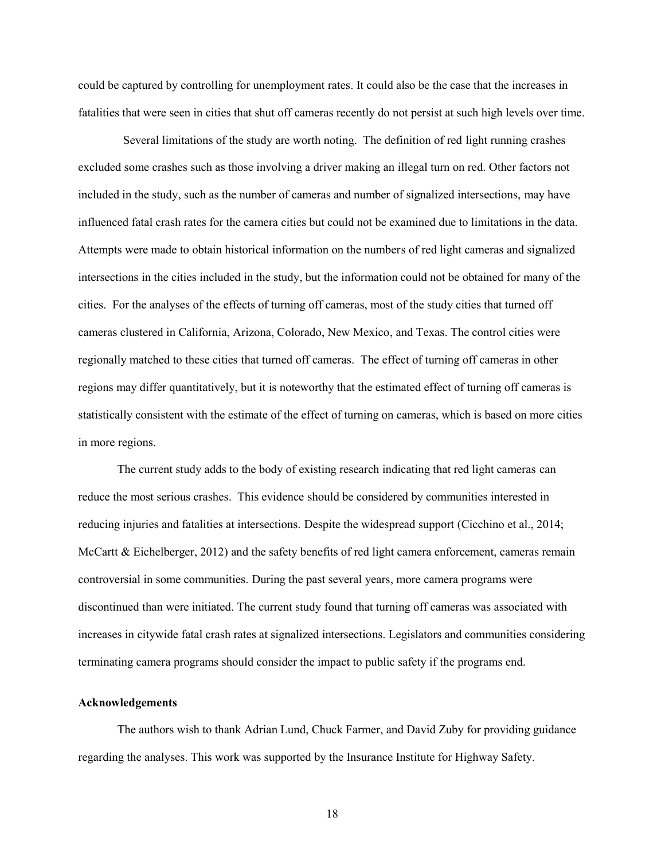could be captured by controlling for unemployment rates. It could also be the case that the increases in fatalities that were seen in cities that shut off cameras recently do not persist at such high levels over time.

Several limitations of the study are worth noting. The definition of red light running crashes excluded some crashes such as those involving a driver making an illegal turn on red. Other factors not included in the study, such as the number of cameras and number of signalized intersections, may have influenced fatal crash rates for the camera cities but could not be examined due to limitations in the data. Attempts were made to obtain historical information on the numbers of red light cameras and signalized intersections in the cities included in the study, but the information could not be obtained for many of the cities. For the analyses of the effects of turning off cameras, most of the study cities that turned off cameras clustered in California, Arizona, Colorado, New Mexico, and Texas. The control cities were regionally matched to these cities that turned off cameras. The effect of turning off cameras in other regions may differ quantitatively, but it is noteworthy that the estimated effect of turning off cameras is statistically consistent with the estimate of the effect of turning on cameras, which is based on more cities in more regions.

The current study adds to the body of existing research indicating that red light cameras can reduce the most serious crashes. This evidence should be considered by communities interested in reducing injuries and fatalities at intersections. Despite the widespread support (Cicchino et al., 2014; McCartt & Eichelberger, 2012) and the safety benefits of red light camera enforcement, cameras remain controversial in some communities. During the past several years, more camera programs were discontinued than were initiated. The current study found that turning off cameras was associated with increases in citywide fatal crash rates at signalized intersections. Legislators and communities considering terminating camera programs should consider the impact to public safety if the programs end.

#### **Acknowledgements**

The authors wish to thank Adrian Lund, Chuck Farmer, and David Zuby for providing guidance regarding the analyses. This work was supported by the Insurance Institute for Highway Safety.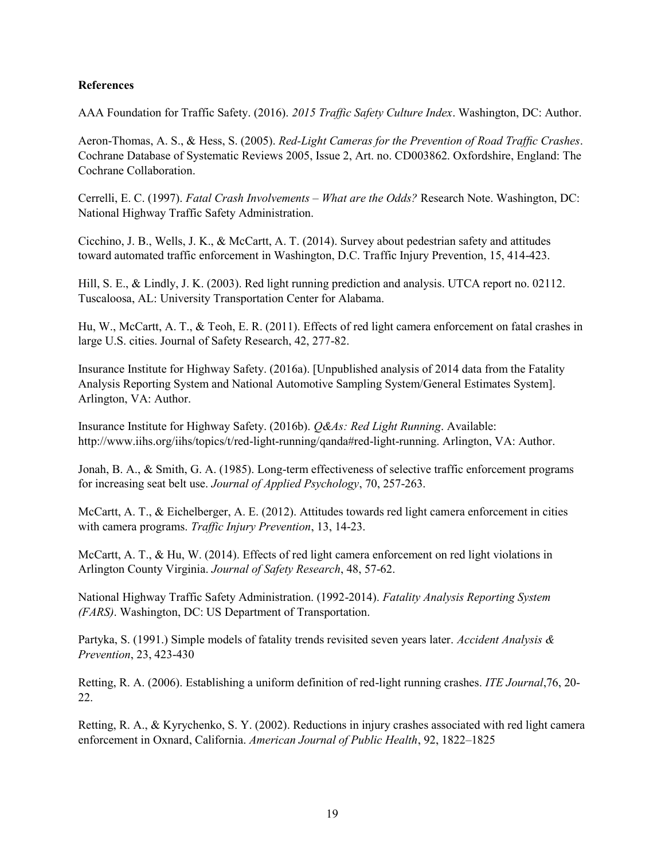# **References**

AAA Foundation for Traffic Safety. (2016). *2015 Traffic Safety Culture Index*. Washington, DC: Author.

Aeron-Thomas, A. S., & Hess, S. (2005). *Red-Light Cameras for the Prevention of Road Traffic Crashes*. Cochrane Database of Systematic Reviews 2005, Issue 2, Art. no. CD003862. Oxfordshire, England: The Cochrane Collaboration.

Cerrelli, E. C. (1997). *Fatal Crash Involvements – What are the Odds?* Research Note. Washington, DC: National Highway Traffic Safety Administration.

Cicchino, J. B., Wells, J. K., & McCartt, A. T. (2014). Survey about pedestrian safety and attitudes toward automated traffic enforcement in Washington, D.C. Traffic Injury Prevention, 15, 414-423.

Hill, S. E., & Lindly, J. K. (2003). Red light running prediction and analysis. UTCA report no. 02112. Tuscaloosa, AL: University Transportation Center for Alabama.

Hu, W., McCartt, A. T., & Teoh, E. R. (2011). Effects of red light camera enforcement on fatal crashes in large U.S. cities. Journal of Safety Research, 42, 277-82.

Insurance Institute for Highway Safety. (2016a). [Unpublished analysis of 2014 data from the Fatality Analysis Reporting System and National Automotive Sampling System/General Estimates System]. Arlington, VA: Author.

Insurance Institute for Highway Safety. (2016b). *Q&As: Red Light Running*. Available: http://www.iihs.org/iihs/topics/t/red-light-running/qanda#red-light-running. Arlington, VA: Author.

Jonah, B. A., & Smith, G. A. (1985). Long-term effectiveness of selective traffic enforcement programs for increasing seat belt use. *Journal of Applied Psychology*, 70, 257-263.

McCartt, A. T., & Eichelberger, A. E. (2012). Attitudes towards red light camera enforcement in cities with camera programs. *Traffic Injury Prevention*, 13, 14-23.

McCartt, A. T., & Hu, W. (2014). Effects of red light camera enforcement on red light violations in Arlington County Virginia. *Journal of Safety Research*, 48, 57-62.

National Highway Traffic Safety Administration. (1992-2014). *Fatality Analysis Reporting System (FARS)*. Washington, DC: US Department of Transportation.

Partyka, S. (1991.) Simple models of fatality trends revisited seven years later. *Accident Analysis & Prevention*, 23, 423-430

Retting, R. A. (2006). Establishing a uniform definition of red-light running crashes. *ITE Journal*,76, 20- 22.

Retting, R. A., & Kyrychenko, S. Y. (2002). Reductions in injury crashes associated with red light camera enforcement in Oxnard, California. *American Journal of Public Health*, 92, 1822–1825